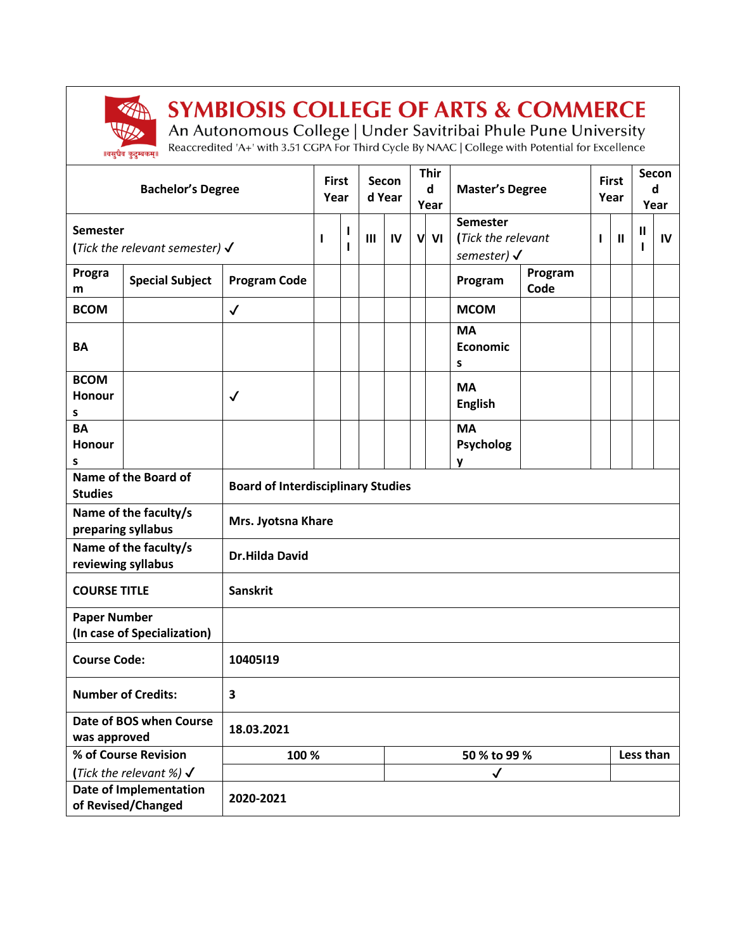

## **SYMBIOSIS COLLEGE OF ARTS & COMMERCE**

An Autonomous College | Under Savitribai Phule Pune University<br>Reaccredited 'A+' with 3.51 CGPA For Third Cycle By NAAC | College with Potential for Excellence

| <b>Bachelor's Degree</b>                              |                        | <b>First</b><br>Year                      |       | Secon<br>d Year   |              | <b>Thir</b><br>d<br>Year |         | <b>Master's Degree</b> |                                                                 | <b>First</b><br>Year |   | Secon<br>d<br>Year |   |    |
|-------------------------------------------------------|------------------------|-------------------------------------------|-------|-------------------|--------------|--------------------------|---------|------------------------|-----------------------------------------------------------------|----------------------|---|--------------------|---|----|
| Semester<br>(Tick the relevant semester) $\checkmark$ |                        |                                           | I     | ı<br>$\mathbf{I}$ | $\mathbf{m}$ | IV                       | VI<br>V |                        | <b>Semester</b><br>(Tick the relevant<br>semester) $\checkmark$ |                      | ı | $\mathbf{I}$       | Ш | IV |
| Progra<br>m                                           | <b>Special Subject</b> | <b>Program Code</b>                       |       |                   |              |                          |         |                        | Program                                                         | Program<br>Code      |   |                    |   |    |
| <b>BCOM</b>                                           |                        | $\checkmark$                              |       |                   |              |                          |         |                        | <b>MCOM</b>                                                     |                      |   |                    |   |    |
| <b>BA</b>                                             |                        |                                           |       |                   |              |                          |         |                        | <b>MA</b><br>Economic<br>s                                      |                      |   |                    |   |    |
| <b>BCOM</b><br>Honour<br>S                            |                        | $\checkmark$                              |       |                   |              |                          |         |                        | <b>MA</b><br><b>English</b>                                     |                      |   |                    |   |    |
| <b>BA</b><br>Honour<br>s                              |                        |                                           |       |                   |              |                          |         |                        | <b>MA</b><br><b>Psycholog</b><br>у                              |                      |   |                    |   |    |
| Name of the Board of<br><b>Studies</b>                |                        | <b>Board of Interdisciplinary Studies</b> |       |                   |              |                          |         |                        |                                                                 |                      |   |                    |   |    |
| Name of the faculty/s<br>preparing syllabus           |                        | Mrs. Jyotsna Khare                        |       |                   |              |                          |         |                        |                                                                 |                      |   |                    |   |    |
| Name of the faculty/s<br>reviewing syllabus           |                        | <b>Dr.Hilda David</b>                     |       |                   |              |                          |         |                        |                                                                 |                      |   |                    |   |    |
| <b>COURSE TITLE</b>                                   |                        | <b>Sanskrit</b>                           |       |                   |              |                          |         |                        |                                                                 |                      |   |                    |   |    |
| <b>Paper Number</b><br>(In case of Specialization)    |                        |                                           |       |                   |              |                          |         |                        |                                                                 |                      |   |                    |   |    |
| <b>Course Code:</b>                                   |                        | 10405119                                  |       |                   |              |                          |         |                        |                                                                 |                      |   |                    |   |    |
| <b>Number of Credits:</b>                             |                        | 3                                         |       |                   |              |                          |         |                        |                                                                 |                      |   |                    |   |    |
| Date of BOS when Course<br>was approved               |                        | 18.03.2021                                |       |                   |              |                          |         |                        |                                                                 |                      |   |                    |   |    |
| % of Course Revision                                  |                        |                                           | 100 % |                   |              |                          |         | 50 % to 99 %           |                                                                 |                      |   | Less than          |   |    |
| (Tick the relevant %) $\checkmark$                    |                        |                                           |       |                   |              |                          |         |                        | $\checkmark$                                                    |                      |   |                    |   |    |
| <b>Date of Implementation</b><br>of Revised/Changed   |                        | 2020-2021                                 |       |                   |              |                          |         |                        |                                                                 |                      |   |                    |   |    |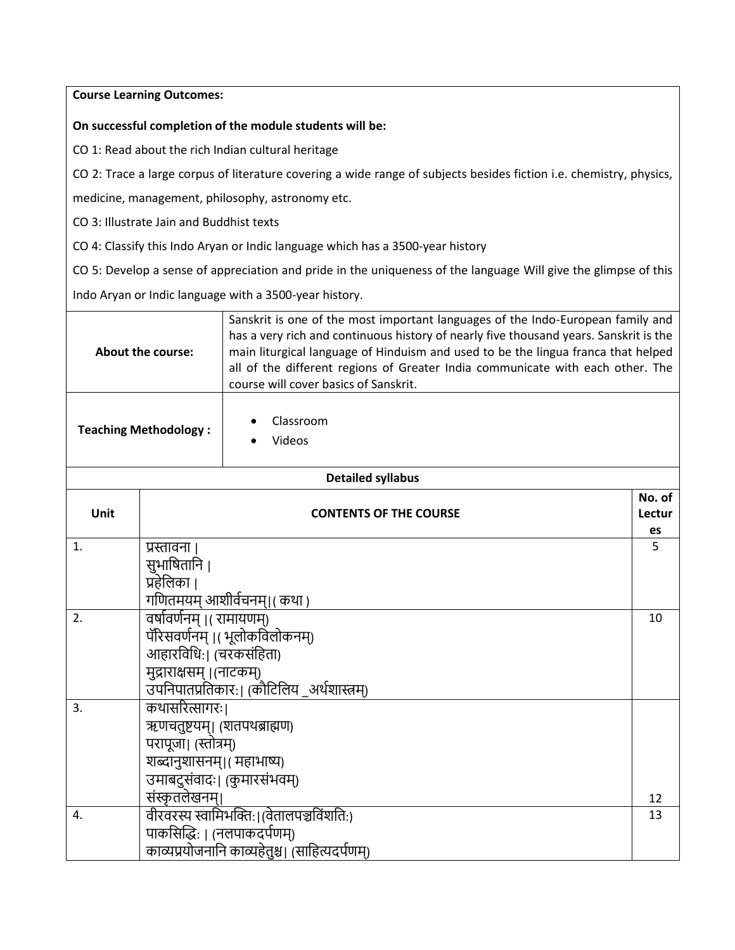## **Course Learning Outcomes:**

## **On successful completion of the module students will be:**

CO 1: Read about the rich Indian cultural heritage

CO 2: Trace a large corpus of literature covering a wide range of subjects besides fiction i.e. chemistry, physics,

medicine, management, philosophy, astronomy etc.

CO 3: Illustrate Jain and Buddhist texts

CO 4: Classify this Indo Aryan or Indic language which has a 3500-year history

CO 5: Develop a sense of appreciation and pride in the uniqueness of the language Will give the glimpse of this

Indo Aryan or Indic language with a 3500-year history.

| About the course:            |                                                                        | Sanskrit is one of the most important languages of the Indo-European family and<br>has a very rich and continuous history of nearly five thousand years. Sanskrit is the<br>main liturgical language of Hinduism and used to be the lingua franca that helped<br>all of the different regions of Greater India communicate with each other. The |              |  |  |  |  |
|------------------------------|------------------------------------------------------------------------|-------------------------------------------------------------------------------------------------------------------------------------------------------------------------------------------------------------------------------------------------------------------------------------------------------------------------------------------------|--------------|--|--|--|--|
| <b>Teaching Methodology:</b> |                                                                        | course will cover basics of Sanskrit.                                                                                                                                                                                                                                                                                                           |              |  |  |  |  |
|                              |                                                                        | Classroom                                                                                                                                                                                                                                                                                                                                       |              |  |  |  |  |
|                              |                                                                        | Videos                                                                                                                                                                                                                                                                                                                                          |              |  |  |  |  |
|                              |                                                                        | <b>Detailed syllabus</b>                                                                                                                                                                                                                                                                                                                        |              |  |  |  |  |
|                              |                                                                        |                                                                                                                                                                                                                                                                                                                                                 | No. of       |  |  |  |  |
| Unit                         |                                                                        | <b>CONTENTS OF THE COURSE</b>                                                                                                                                                                                                                                                                                                                   | Lectur<br>es |  |  |  |  |
| 1.                           | प्रस्तावना ।                                                           |                                                                                                                                                                                                                                                                                                                                                 | 5            |  |  |  |  |
|                              | सुभाषितानि ।                                                           |                                                                                                                                                                                                                                                                                                                                                 |              |  |  |  |  |
| प्रहेलिका ।                  |                                                                        |                                                                                                                                                                                                                                                                                                                                                 |              |  |  |  |  |
|                              |                                                                        | गणितमयम् आशीर्वचनम्।( कथा )                                                                                                                                                                                                                                                                                                                     |              |  |  |  |  |
| 2.                           | वर्षावर्णनम् ।( रामायणम्)                                              |                                                                                                                                                                                                                                                                                                                                                 | 10           |  |  |  |  |
|                              |                                                                        | पॅरिसवर्णनम् ।(भूलोकविलोकनम्)                                                                                                                                                                                                                                                                                                                   |              |  |  |  |  |
|                              | आहारविधि:। (चरकसंहिता)                                                 |                                                                                                                                                                                                                                                                                                                                                 |              |  |  |  |  |
|                              | मुद्राराक्षसम् ।(नाटकम्)<br>उपनिपातप्रतिकार:। (कौटिलिय) अर्थशास्त्रम्) |                                                                                                                                                                                                                                                                                                                                                 |              |  |  |  |  |
| 3.                           | कथासरित्सागरः।                                                         |                                                                                                                                                                                                                                                                                                                                                 |              |  |  |  |  |
|                              | ऋणचतुष्टयम्। (शतपथब्राह्मण)                                            |                                                                                                                                                                                                                                                                                                                                                 |              |  |  |  |  |
|                              | परापूजा। (स्तोत्रम्)                                                   |                                                                                                                                                                                                                                                                                                                                                 |              |  |  |  |  |
|                              |                                                                        | शब्दानुशासनम्।(महाभाष्य)                                                                                                                                                                                                                                                                                                                        |              |  |  |  |  |
|                              |                                                                        | उमाबदुसंवादः। (कुमारसंभवम्)                                                                                                                                                                                                                                                                                                                     |              |  |  |  |  |
|                              | संस्कृतलेखनम्।                                                         |                                                                                                                                                                                                                                                                                                                                                 | 12           |  |  |  |  |
| 4.                           |                                                                        | वीरवरस्य स्वामिभक्ति:।(वेतालपञ्चविंशति:)                                                                                                                                                                                                                                                                                                        | 13           |  |  |  |  |
|                              | पाकसिद्धिः । (नलपाकदर्पणम्)                                            |                                                                                                                                                                                                                                                                                                                                                 |              |  |  |  |  |
|                              |                                                                        | काव्यप्रयोजनानि काव्यहेतुश्च। (साहित्यदर्पणम्)                                                                                                                                                                                                                                                                                                  |              |  |  |  |  |